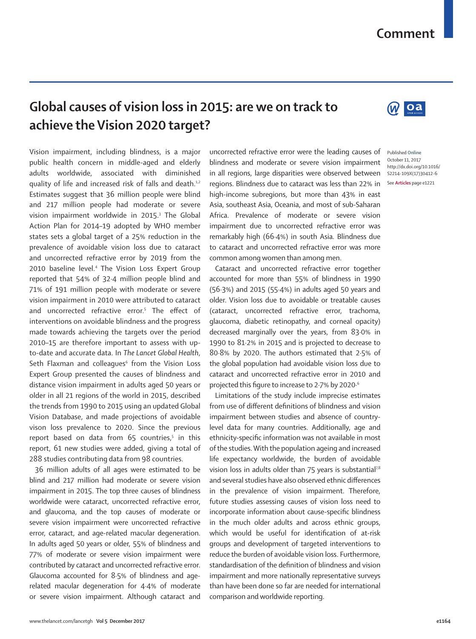## **Comment**

## **Global causes of vision loss in 2015: are we on track to achieve the Vision 2020 target?**

Vision impairment, including blindness, is a major public health concern in middle-aged and elderly adults worldwide, associated with diminished quality of life and increased risk of falls and death.<sup>1,2</sup> Estimates suggest that 36 million people were blind and 217 million people had moderate or severe vision impairment worldwide in 2015.<sup>3</sup> The Global Action Plan for 2014–19 adopted by WHO member states sets a global target of a 25% reduction in the prevalence of avoidable vision loss due to cataract and uncorrected refractive error by 2019 from the 2010 baseline level.<sup>4</sup> The Vision Loss Expert Group reported that 54% of 32·4 million people blind and 71% of 191 million people with moderate or severe vision impairment in 2010 were attributed to cataract and uncorrected refractive error.5 The effect of interventions on avoidable blindness and the progress made towards achieving the targets over the period 2010–15 are therefore important to assess with upto-date and accurate data. In *The Lancet Global Health*, Seth Flaxman and colleagues<sup>6</sup> from the Vision Loss Expert Group presented the causes of blindness and distance vision impairment in adults aged 50 years or older in all 21 regions of the world in 2015, described the trends from 1990 to 2015 using an updated Global Vision Database, and made projections of avoidable vison loss prevalence to 2020. Since the previous report based on data from 65 countries,<sup>5</sup> in this report, 61 new studies were added, giving a total of 288 studies contributing data from 98 countries.

36 million adults of all ages were estimated to be blind and 217 million had moderate or severe vision impairment in 2015. The top three causes of blindness worldwide were cataract, uncorrected refractive error, and glaucoma, and the top causes of moderate or severe vision impairment were uncorrected refractive error, cataract, and age-related macular degeneration. In adults aged 50 years or older, 55% of blindness and 77% of moderate or severe vision impairment were contributed by cataract and uncorrected refractive error. Glaucoma accounted for 8·5% of blindness and agerelated macular degeneration for 4·4% of moderate or severe vision impairment. Although cataract and uncorrected refractive error were the leading causes of blindness and moderate or severe vision impairment in all regions, large disparities were observed between regions. Blindness due to cataract was less than 22% in high-income subregions, but more than 43% in east Asia, southeast Asia, Oceania, and most of sub-Saharan Africa. Prevalence of moderate or severe vision impairment due to uncorrected refractive error was remarkably high (66·4%) in south Asia. Blindness due to cataract and uncorrected refractive error was more common among women than among men.

Cataract and uncorrected refractive error together accounted for more than 55% of blindness in 1990 (56·3%) and 2015 (55·4%) in adults aged 50 years and older. Vision loss due to avoidable or treatable causes (cataract, uncorrected refractive error, trachoma, glaucoma, diabetic retinopathy, and corneal opacity) decreased marginally over the years, from 83·0% in 1990 to 81·2% in 2015 and is projected to decrease to 80·8% by 2020. The authors estimated that 2·5% of the global population had avoidable vision loss due to cataract and uncorrected refractive error in 2010 and projected this figure to increase to 2·7% by 2020·6

Limitations of the study include imprecise estimates from use of different definitions of blindness and vision impairment between studies and absence of countrylevel data for many countries. Additionally, age and ethnicity-specific information was not available in most of the studies. With the population ageing and increased life expectancy worldwide, the burden of avoidable vision loss in adults older than  $75$  years is substantial<sup>78</sup> and several studies have also observed ethnic differences in the prevalence of vision impairment. Therefore, future studies assessing causes of vision loss need to incorporate information about cause-specific blindness in the much older adults and across ethnic groups. which would be useful for identification of at-risk groups and development of targeted interventions to reduce the burden of avoidable vision loss. Furthermore, standardisation of the definition of blindness and vision impairment and more nationally representative surveys than have been done so far are needed for international comparison and worldwide reporting.



Published **Online** October 11, 2017 http://dx.doi.org/10.1016/ S2214-109X(17)30412-6 See **Articles** page e1221